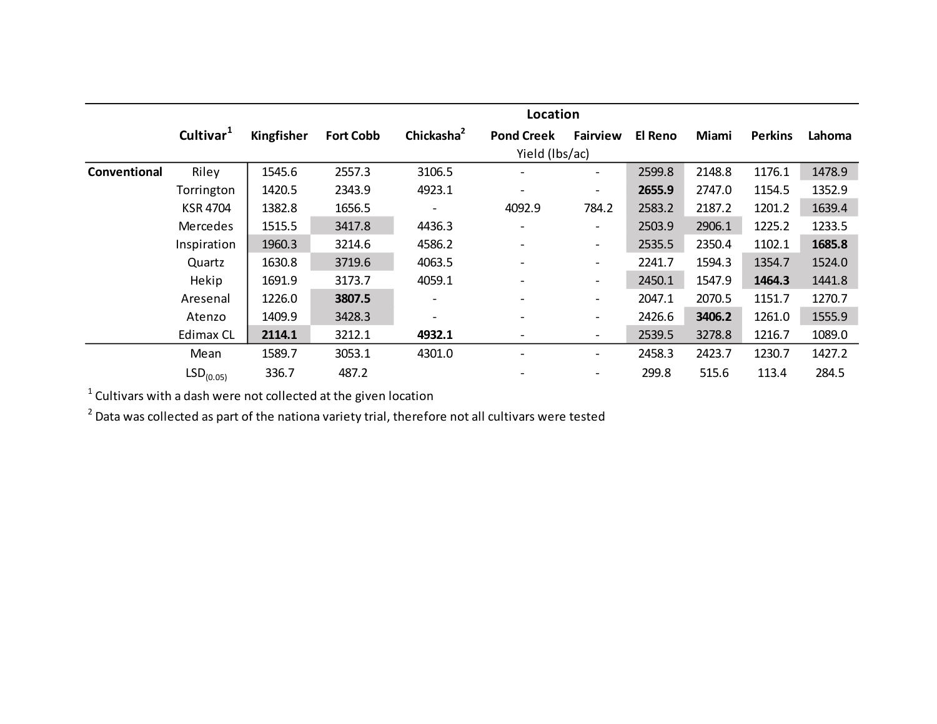|              |                       | Location   |                  |                        |                              |                              |                |        |                |        |  |
|--------------|-----------------------|------------|------------------|------------------------|------------------------------|------------------------------|----------------|--------|----------------|--------|--|
|              | Cultivar <sup>1</sup> | Kingfisher | <b>Fort Cobb</b> | Chickasha <sup>2</sup> | <b>Pond Creek</b>            | <b>Fairview</b>              | <b>El Reno</b> | Miami  | <b>Perkins</b> | Lahoma |  |
|              |                       |            |                  | Yield (Ibs/ac)         |                              |                              |                |        |                |        |  |
| Conventional | Riley                 | 1545.6     | 2557.3           | 3106.5                 | $\overline{\phantom{0}}$     | $\overline{\phantom{a}}$     | 2599.8         | 2148.8 | 1176.1         | 1478.9 |  |
|              | Torrington            | 1420.5     | 2343.9           | 4923.1                 | $\overline{\phantom{0}}$     | $\overline{\phantom{a}}$     | 2655.9         | 2747.0 | 1154.5         | 1352.9 |  |
|              | <b>KSR 4704</b>       | 1382.8     | 1656.5           |                        | 4092.9                       | 784.2                        | 2583.2         | 2187.2 | 1201.2         | 1639.4 |  |
|              | <b>Mercedes</b>       | 1515.5     | 3417.8           | 4436.3                 |                              | $\overline{\phantom{a}}$     | 2503.9         | 2906.1 | 1225.2         | 1233.5 |  |
|              | Inspiration           | 1960.3     | 3214.6           | 4586.2                 | $\overline{\phantom{a}}$     | $\overline{\phantom{a}}$     | 2535.5         | 2350.4 | 1102.1         | 1685.8 |  |
|              | Quartz                | 1630.8     | 3719.6           | 4063.5                 | $\qquad \qquad \blacksquare$ | $\overline{\phantom{a}}$     | 2241.7         | 1594.3 | 1354.7         | 1524.0 |  |
|              | Hekip                 | 1691.9     | 3173.7           | 4059.1                 | $\overline{\phantom{0}}$     | $\overline{\phantom{a}}$     | 2450.1         | 1547.9 | 1464.3         | 1441.8 |  |
|              | Aresenal              | 1226.0     | 3807.5           |                        | $\overline{\phantom{0}}$     | $\overline{\phantom{a}}$     | 2047.1         | 2070.5 | 1151.7         | 1270.7 |  |
|              | Atenzo                | 1409.9     | 3428.3           | -                      | $\overline{\phantom{a}}$     | $\overline{\phantom{a}}$     | 2426.6         | 3406.2 | 1261.0         | 1555.9 |  |
|              | Edimax CL             | 2114.1     | 3212.1           | 4932.1                 | -                            | $\qquad \qquad \blacksquare$ | 2539.5         | 3278.8 | 1216.7         | 1089.0 |  |
|              | Mean                  | 1589.7     | 3053.1           | 4301.0                 | $\qquad \qquad \blacksquare$ | $\overline{\phantom{a}}$     | 2458.3         | 2423.7 | 1230.7         | 1427.2 |  |
|              | LSD <sub>(0.05)</sub> | 336.7      | 487.2            |                        | $\qquad \qquad \blacksquare$ | $\overline{\phantom{a}}$     | 299.8          | 515.6  | 113.4          | 284.5  |  |

 $^1$  Cultivars with a dash were not collected at the given location

 $^{2}$  Data was collected as part of the nationa variety trial, therefore not all cultivars were tested